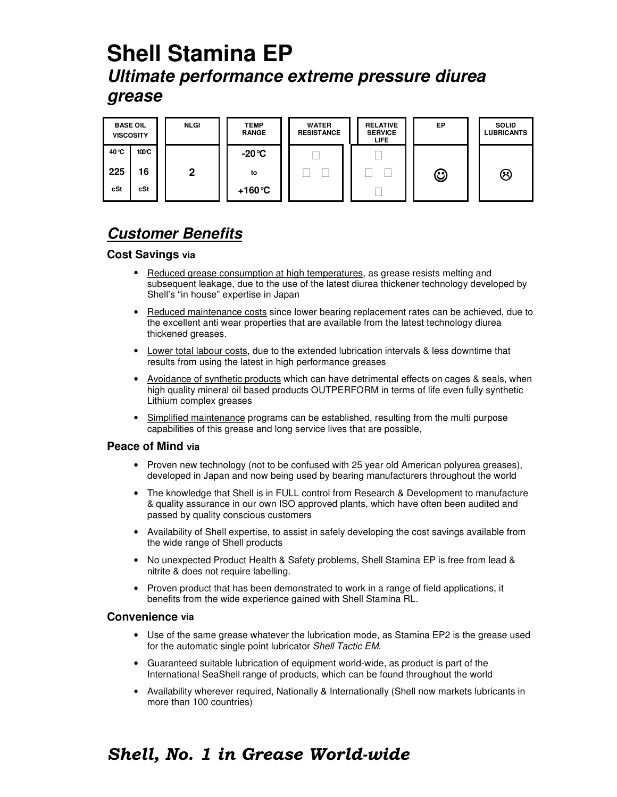# **Shell Stamina EP Ultimate performance extreme pressure diurea grease**

| <b>BASE OIL</b><br><b>VISCOSITY</b> |       |  |
|-------------------------------------|-------|--|
| 40 °C                               | 100°C |  |
| 225                                 | 16    |  |
| cSt                                 | cSt   |  |









## **Customer Benefits**

### **Cost Savings via**

- Reduced grease consumption at high temperatures, as grease resists melting and subsequent leakage, due to the use of the latest diurea thickener technology developed by Shell's "in house" expertise in Japan
- Reduced maintenance costs since lower bearing replacement rates can be achieved, due to the excellent anti wear properties that are available from the latest technology diurea thickened greases.
- Lower total labour costs, due to the extended lubrication intervals & less downtime that results from using the latest in high performance greases
- Avoidance of synthetic products which can have detrimental effects on cages & seals, when high quality mineral oil based products OUTPERFORM in terms of life even fully synthetic Lithium complex greases
- Simplified maintenance programs can be established, resulting from the multi purpose capabilities of this grease and long service lives that are possible,

#### **Peace of Mind via**

- Proven new technology (not to be confused with 25 year old American polyurea greases), developed in Japan and now being used by bearing manufacturers throughout the world
- The knowledge that Shell is in FULL control from Research & Development to manufacture & quality assurance in our own ISO approved plants, which have often been audited and passed by quality conscious customers
- Availability of Shell expertise, to assist in safely developing the cost savings available from the wide range of Shell products
- No unexpected Product Health & Safety problems, Shell Stamina EP is free from lead & nitrite & does not require labelling.
- Proven product that has been demonstrated to work in a range of field applications, it benefits from the wide experience gained with Shell Stamina RL.

#### **Convenience via**

- Use of the same grease whatever the lubrication mode, as Stamina EP2 is the grease used for the automatic single point lubricator Shell Tactic EM.
- Guaranteed suitable lubrication of equipment world-wide, as product is part of the International SeaShell range of products, which can be found throughout the world
- Availability wherever required, Nationally & Internationally (Shell now markets lubricants in more than 100 countries)

## Shell, No. 1 in Grease World-wide